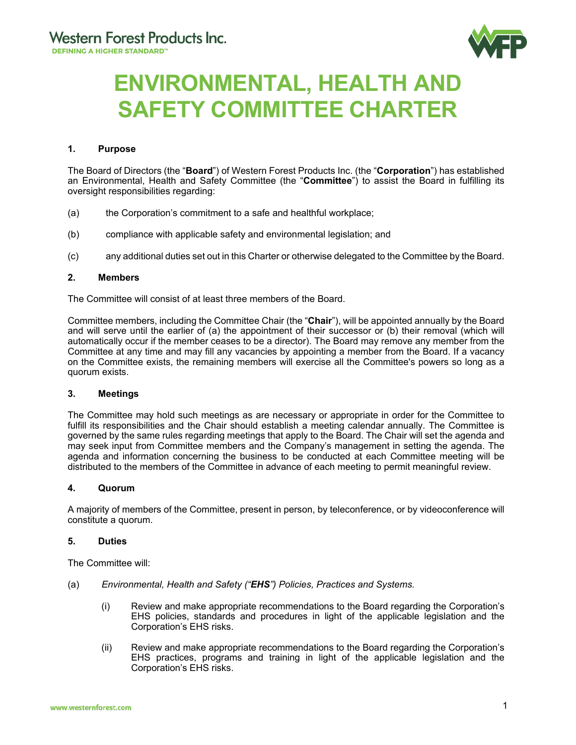

# **ENVIRONMENTAL, HEALTH AND SAFETY COMMITTEE CHARTER**

# **1. Purpose**

The Board of Directors (the "**Board**") of Western Forest Products Inc. (the "**Corporation**") has established an Environmental, Health and Safety Committee (the "**Committee**") to assist the Board in fulfilling its oversight responsibilities regarding:

- (a) the Corporation's commitment to a safe and healthful workplace;
- (b) compliance with applicable safety and environmental legislation; and
- (c) any additional duties set out in this Charter or otherwise delegated to the Committee by the Board.

## **2. Members**

The Committee will consist of at least three members of the Board.

Committee members, including the Committee Chair (the "**Chair**"), will be appointed annually by the Board and will serve until the earlier of (a) the appointment of their successor or (b) their removal (which will automatically occur if the member ceases to be a director). The Board may remove any member from the Committee at any time and may fill any vacancies by appointing a member from the Board. If a vacancy on the Committee exists, the remaining members will exercise all the Committee's powers so long as a quorum exists.

# **3. Meetings**

The Committee may hold such meetings as are necessary or appropriate in order for the Committee to fulfill its responsibilities and the Chair should establish a meeting calendar annually. The Committee is governed by the same rules regarding meetings that apply to the Board. The Chair will set the agenda and may seek input from Committee members and the Company's management in setting the agenda. The agenda and information concerning the business to be conducted at each Committee meeting will be distributed to the members of the Committee in advance of each meeting to permit meaningful review.

## **4. Quorum**

A majority of members of the Committee, present in person, by teleconference, or by videoconference will constitute a quorum.

## **5. Duties**

The Committee will:

- (a) *Environmental, Health and Safety ("EHS") Policies, Practices and Systems.* 
	- (i) Review and make appropriate recommendations to the Board regarding the Corporation's EHS policies, standards and procedures in light of the applicable legislation and the Corporation's EHS risks.
	- (ii) Review and make appropriate recommendations to the Board regarding the Corporation's EHS practices, programs and training in light of the applicable legislation and the Corporation's EHS risks.